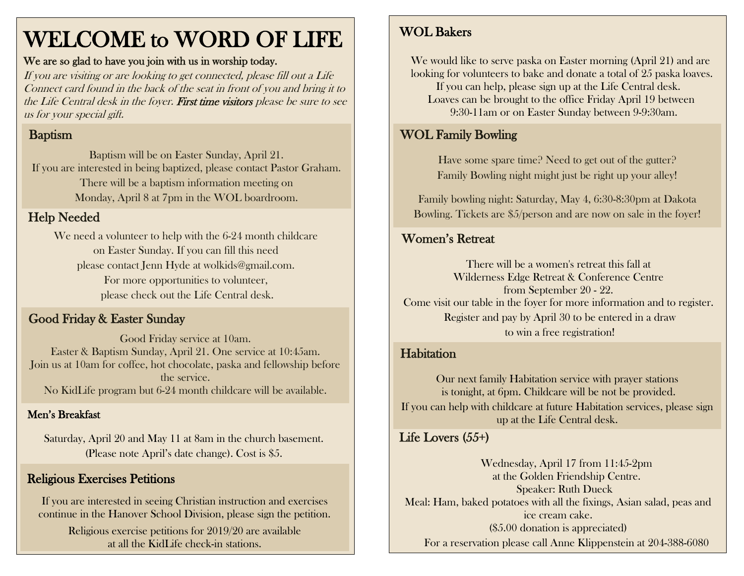# WELCOME to WORD OF LIFE

#### We are so glad to have you join with us in worship today.

If you are visiting or are looking to get connected, please fill out a Life Connect card found in the back of the seat in front of you and bring it to the Life Central desk in the foyer. First time visitors please be sure to see us for your special gift.

## Baptism

Baptism will be on Easter Sunday, April 21. If you are interested in being baptized, please contact Pastor Graham. There will be a baptism information meeting on Monday, April 8 at 7pm in the WOL boardroom.

### Help Needed

We need a volunteer to help with the 6-24 month childcare on Easter Sunday. If you can fill this need please contact Jenn Hyde at [wolkids@gmail.com.](mailto:wolkids@gmail.com) For more opportunities to volunteer, please check out the Life Central desk.

### Good Friday & Easter Sunday

Good Friday service at 10am. Easter & Baptism Sunday, April 21. One service at 10:45am. Join us at 10am for coffee, hot chocolate, paska and fellowship before the service. No KidLife program but 6-24 month childcare will be available.

#### Men's Breakfast

Saturday, April 20 and May 11 at 8am in the church basement. (Please note April's date change). Cost is \$5.

### Religious Exercises Petitions

If you are interested in seeing Christian instruction and exercises continue in the Hanover School Division, please sign the petition.

> Religious exercise petitions for 2019/20 are available at all the KidLife check-in stations.

### WOL Bakers

 We would like to serve paska on Easter morning (April 21) and are looking for volunteers to bake and donate a total of 25 paska loaves. If you can help, please sign up at the Life Central desk. Loaves can be brought to the office Friday April 19 between 9:30-11am or on Easter Sunday between 9-9:30am.

### WOL Family Bowling

Have some spare time? Need to get out of the gutter? Family Bowling night might just be right up your alley!

Family bowling night: Saturday, May 4, 6:30-8:30pm at Dakota Bowling. Tickets are \$5/person and are now on sale in the foyer!

### Women's Retreat

There will be a women's retreat this fall at Wilderness Edge Retreat & Conference Centre from September 20 - 22. Come visit our table in the foyer for more information and to register. Register and pay by April 30 to be entered in a draw to win a free registration!

### **Habitation**

Our next family Habitation service with prayer stations is tonight, at 6pm. Childcare will be not be provided. If you can help with childcare at future Habitation services, please sign up at the Life Central desk.

#### Ī Life Lovers (55+)

İ

Wednesday, April 17 from 11:45-2pm at the Golden Friendship Centre. Speaker: Ruth Dueck Meal: Ham, baked potatoes with all the fixings, Asian salad, peas and ice cream cake. (\$5.00 donation is appreciated) For a reservation please call Anne Klippenstein at 204-388-6080